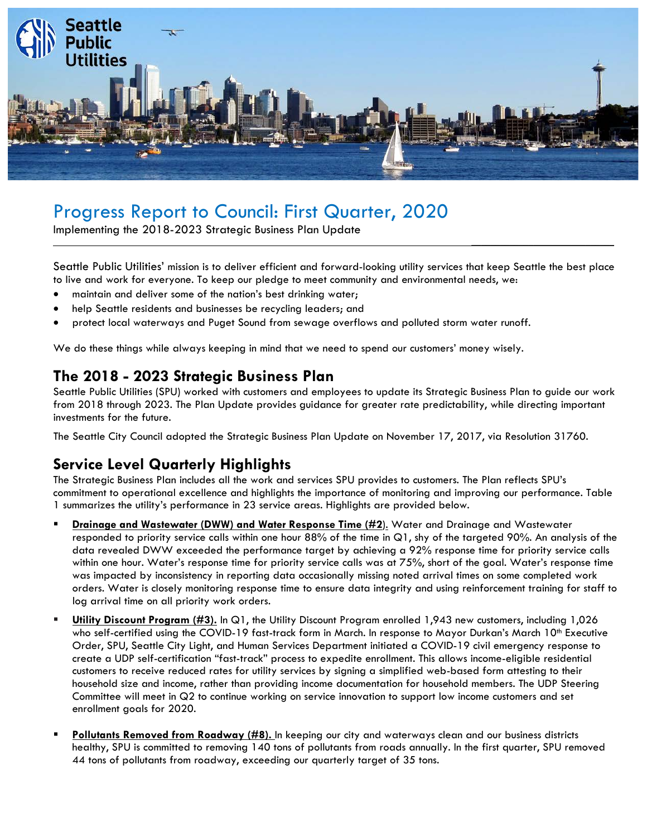

# Progress Report to Council: First Quarter, 2020

Implementing the 2018-2023 Strategic Business Plan Update

Seattle Public Utilities' mission is to deliver efficient and forward-looking utility services that keep Seattle the best place to live and work for everyone. To keep our pledge to meet community and environmental needs, we:

 $\overline{\phantom{a}}$  , which is a set of the set of the set of the set of the set of the set of the set of the set of the set of the set of the set of the set of the set of the set of the set of the set of the set of the set of th

- maintain and deliver some of the nation's best drinking water;
- help Seattle residents and businesses be recycling leaders; and
- protect local waterways and Puget Sound from sewage overflows and polluted storm water runoff.

We do these things while always keeping in mind that we need to spend our customers' money wisely.

# **The 2018 - 2023 Strategic Business Plan**

Seattle Public Utilities (SPU) worked with customers and employees to update its Strategic Business Plan to guide our work from 2018 through 2023. The Plan Update provides guidance for greater rate predictability, while directing important investments for the future.

The Seattle City Council adopted the Strategic Business Plan Update on November 17, 2017, via Resolution 31760.

# **Service Level Quarterly Highlights**

The Strategic Business Plan includes all the work and services SPU provides to customers. The Plan reflects SPU's commitment to operational excellence and highlights the importance of monitoring and improving our performance. Table 1 summarizes the utility's performance in 23 service areas. Highlights are provided below.

- **Drainage and Wastewater (DWW) and Water Response Time (#2**). Water and Drainage and Wastewater responded to priority service calls within one hour 88% of the time in Q1, shy of the targeted 90%. An analysis of the data revealed DWW exceeded the performance target by achieving a 92% response time for priority service calls within one hour. Water's response time for priority service calls was at 75%, short of the goal. Water's response time was impacted by inconsistency in reporting data occasionally missing noted arrival times on some completed work orders. Water is closely monitoring response time to ensure data integrity and using reinforcement training for staff to log arrival time on all priority work orders.
- **Utility Discount Program (#3).** In Q1, the Utility Discount Program enrolled 1,943 new customers, including 1,026 who self-certified using the COVID-19 fast-track form in March. In response to Mayor Durkan's March 10<sup>th</sup> Executive Order, SPU, Seattle City Light, and Human Services Department initiated a COVID-19 civil emergency response to create a UDP self-certification "fast-track" process to expedite enrollment. This allows income-eligible residential customers to receive reduced rates for utility services by signing a simplified web-based form attesting to their household size and income, rather than providing income documentation for household members. The UDP Steering Committee will meet in Q2 to continue working on service innovation to support low income customers and set enrollment goals for 2020.
- **Pollutants Removed from Roadway (#8).** In keeping our city and waterways clean and our business districts healthy, SPU is committed to removing 140 tons of pollutants from roads annually. In the first quarter, SPU removed 44 tons of pollutants from roadway, exceeding our quarterly target of 35 tons.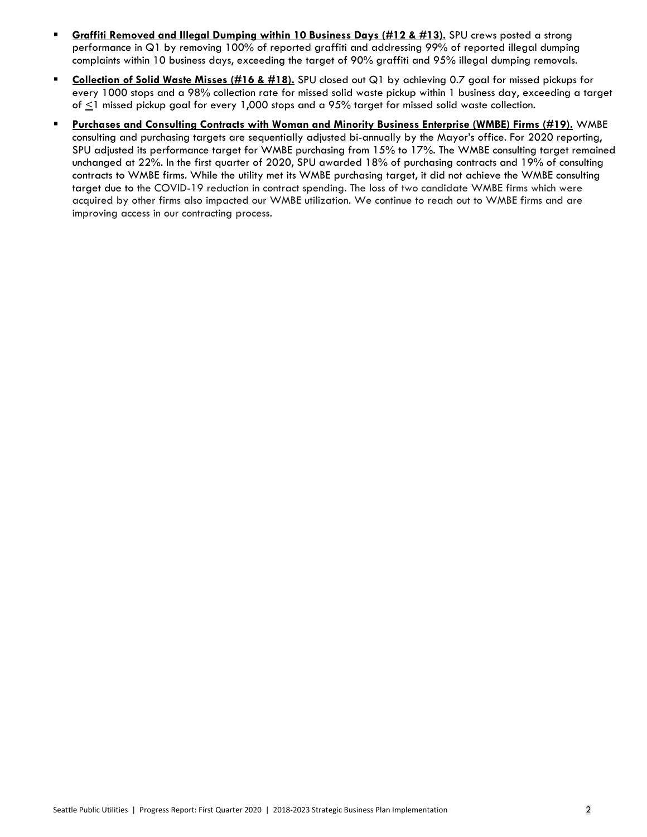- **Graffiti Removed and Illegal Dumping within 10 Business Days (#12 & #13).** SPU crews posted a strong performance in Q1 by removing 100% of reported graffiti and addressing 99% of reported illegal dumping complaints within 10 business days, exceeding the target of 90% graffiti and 95% illegal dumping removals.
- **Collection of Solid Waste Misses (#16 & #18).** SPU closed out Q1 by achieving 0.7 goal for missed pickups for every 1000 stops and a 98% collection rate for missed solid waste pickup within 1 business day, exceeding a target of  $\leq$ 1 missed pickup goal for every 1,000 stops and a 95% target for missed solid waste collection.
- **Purchases and Consulting Contracts with Woman and Minority Business Enterprise (WMBE) Firms (#19).** WMBE consulting and purchasing targets are sequentially adjusted bi-annually by the Mayor's office. For 2020 reporting, SPU adjusted its performance target for WMBE purchasing from 15% to 17%. The WMBE consulting target remained unchanged at 22%. In the first quarter of 2020, SPU awarded 18% of purchasing contracts and 19% of consulting contracts to WMBE firms. While the utility met its WMBE purchasing target, it did not achieve the WMBE consulting target due to the COVID-19 reduction in contract spending. The loss of two candidate WMBE firms which were acquired by other firms also impacted our WMBE utilization. We continue to reach out to WMBE firms and are improving access in our contracting process.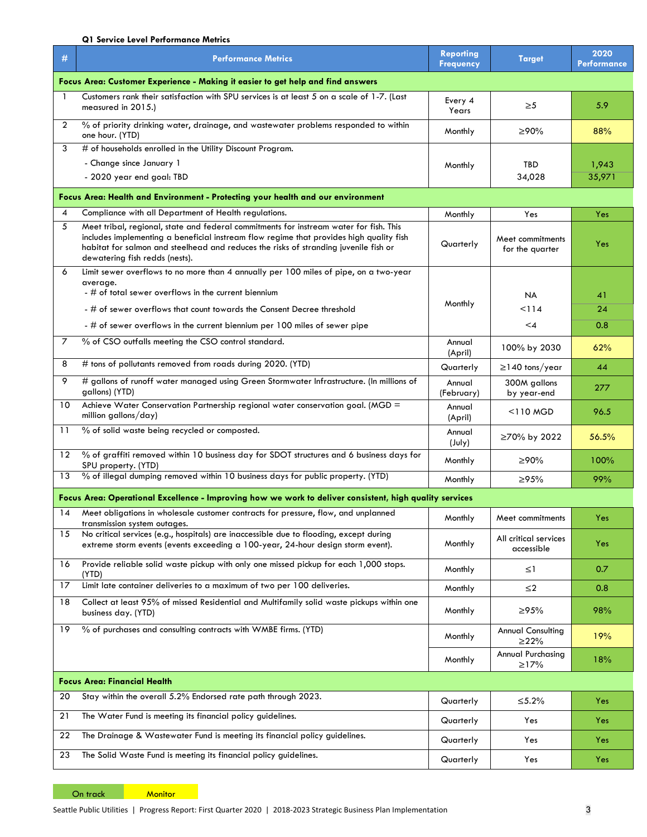#### **Q1 Service Level Performance Metrics**

| #                                                                               | <b>Performance Metrics</b>                                                                                                                                                                                                                                                                                  | <b>Reporting</b><br><b>Frequency</b> | <b>Target</b>                          | 2020<br><b>Performance</b> |  |  |
|---------------------------------------------------------------------------------|-------------------------------------------------------------------------------------------------------------------------------------------------------------------------------------------------------------------------------------------------------------------------------------------------------------|--------------------------------------|----------------------------------------|----------------------------|--|--|
| Focus Area: Customer Experience - Making it easier to get help and find answers |                                                                                                                                                                                                                                                                                                             |                                      |                                        |                            |  |  |
| $\mathbf{1}$                                                                    | Customers rank their satisfaction with SPU services is at least 5 on a scale of 1-7. (Last<br>measured in 2015.)                                                                                                                                                                                            | Every 4<br>Years                     | $\geq 5$                               | 5.9                        |  |  |
| $\overline{2}$                                                                  | % of priority drinking water, drainage, and wastewater problems responded to within<br>one hour. (YTD)                                                                                                                                                                                                      | Monthly                              | ≥90%                                   | 88%                        |  |  |
| 3                                                                               | # of households enrolled in the Utility Discount Program.                                                                                                                                                                                                                                                   |                                      |                                        |                            |  |  |
|                                                                                 | - Change since January 1                                                                                                                                                                                                                                                                                    | Monthly                              | TBD                                    | 1,943                      |  |  |
|                                                                                 | - 2020 year end goal: TBD                                                                                                                                                                                                                                                                                   |                                      | 34,028                                 | 35,971                     |  |  |
|                                                                                 | Focus Area: Health and Environment - Protecting your health and our environment                                                                                                                                                                                                                             |                                      |                                        |                            |  |  |
| 4                                                                               | Compliance with all Department of Health regulations.                                                                                                                                                                                                                                                       | Monthly                              | Yes                                    | Yes                        |  |  |
| 5                                                                               | Meet tribal, regional, state and federal commitments for instream water for fish. This<br>includes implementing a beneficial instream flow regime that provides high quality fish<br>habitat for salmon and steelhead and reduces the risks of stranding juvenile fish or<br>dewatering fish redds (nests). | Quarterly                            | Meet commitments<br>for the quarter    | Yes                        |  |  |
| 6                                                                               | Limit sewer overflows to no more than 4 annually per 100 miles of pipe, on a two-year<br>average.                                                                                                                                                                                                           |                                      |                                        |                            |  |  |
|                                                                                 | - # of total sewer overflows in the current biennium                                                                                                                                                                                                                                                        |                                      | NA                                     | 41                         |  |  |
|                                                                                 | - # of sewer overflows that count towards the Consent Decree threshold                                                                                                                                                                                                                                      | Monthly                              | < 114                                  | 24                         |  |  |
|                                                                                 | - # of sewer overflows in the current biennium per 100 miles of sewer pipe                                                                                                                                                                                                                                  |                                      | $\leq 4$                               | 0.8                        |  |  |
| 7                                                                               | % of CSO outfalls meeting the CSO control standard.                                                                                                                                                                                                                                                         | Annual<br>(April)                    | 100% by 2030                           | 62%                        |  |  |
| 8                                                                               | # tons of pollutants removed from roads during 2020. (YTD)                                                                                                                                                                                                                                                  | Quarterly                            | $\geq$ 140 tons/year                   | 44                         |  |  |
| 9                                                                               | # gallons of runoff water managed using Green Stormwater Infrastructure. (In millions of<br>gallons) (YTD)                                                                                                                                                                                                  | Annual<br>(February)                 | 300M gallons<br>by year-end            | 277                        |  |  |
| 10                                                                              | Achieve Water Conservation Partnership regional water conservation goal. (MGD =<br>million gallons/day)                                                                                                                                                                                                     | Annual<br>(April)                    | $<$ 110 MGD                            | 96.5                       |  |  |
| 11                                                                              | % of solid waste being recycled or composted.                                                                                                                                                                                                                                                               | Annual<br>(July)                     | ≥70% by 2022                           | 56.5%                      |  |  |
| 12                                                                              | % of graffiti removed within 10 business day for SDOT structures and 6 business days for<br>SPU property. (YTD)                                                                                                                                                                                             | Monthly                              | ≥90%                                   | 100%                       |  |  |
| 13                                                                              | % of illegal dumping removed within 10 business days for public property. (YTD)                                                                                                                                                                                                                             | Monthly                              | ≥95%                                   | 99%                        |  |  |
|                                                                                 | Focus Area: Operational Excellence - Improving how we work to deliver consistent, high quality services                                                                                                                                                                                                     |                                      |                                        |                            |  |  |
| 14                                                                              | Meet obligations in wholesale customer contracts for pressure, flow, and unplanned<br>transmission system outages.                                                                                                                                                                                          | Monthly                              | Meet commitments                       | Yes                        |  |  |
| 15                                                                              | No critical services (e.g., hospitals) are inaccessible due to flooding, except during<br>extreme storm events (events exceeding a 100-year, 24-hour design storm event).                                                                                                                                   | Monthly                              | All critical services<br>accessible    | Yes                        |  |  |
| 16                                                                              | Provide reliable solid waste pickup with only one missed pickup for each 1,000 stops.<br>(YTD)                                                                                                                                                                                                              | Monthly                              | $\leq$ 1                               | 0.7                        |  |  |
| 17                                                                              | Limit late container deliveries to a maximum of two per 100 deliveries.                                                                                                                                                                                                                                     | Monthly                              | $\leq$ 2                               | 0.8                        |  |  |
| 18                                                                              | Collect at least 95% of missed Residential and Multifamily solid waste pickups within one<br>business day. (YTD)                                                                                                                                                                                            | Monthly                              | ≥95%                                   | 98%                        |  |  |
| 19                                                                              | % of purchases and consulting contracts with WMBE firms. (YTD)                                                                                                                                                                                                                                              | Monthly                              | <b>Annual Consulting</b><br>$\geq$ 22% | 19%                        |  |  |
|                                                                                 |                                                                                                                                                                                                                                                                                                             | Monthly                              | Annual Purchasing<br>$\geq$ 17%        | 18%                        |  |  |
| <b>Focus Area: Financial Health</b>                                             |                                                                                                                                                                                                                                                                                                             |                                      |                                        |                            |  |  |
| 20                                                                              | Stay within the overall 5.2% Endorsed rate path through 2023.                                                                                                                                                                                                                                               | Quarterly                            | $\leq 5.2\%$                           | Yes                        |  |  |
| 21                                                                              | The Water Fund is meeting its financial policy guidelines.                                                                                                                                                                                                                                                  | Quarterly                            | Yes                                    | Yes                        |  |  |
| 22                                                                              | The Drainage & Wastewater Fund is meeting its financial policy guidelines.                                                                                                                                                                                                                                  | Quarterly                            | Yes                                    | Yes                        |  |  |
| 23                                                                              | The Solid Waste Fund is meeting its financial policy guidelines.                                                                                                                                                                                                                                            | Quarterly                            | Yes                                    | Yes                        |  |  |

On track Monitor

Seattle Public Utilities | Progress Report: First Quarter 2020 | 2018-2023 Strategic Business Plan Implementation 3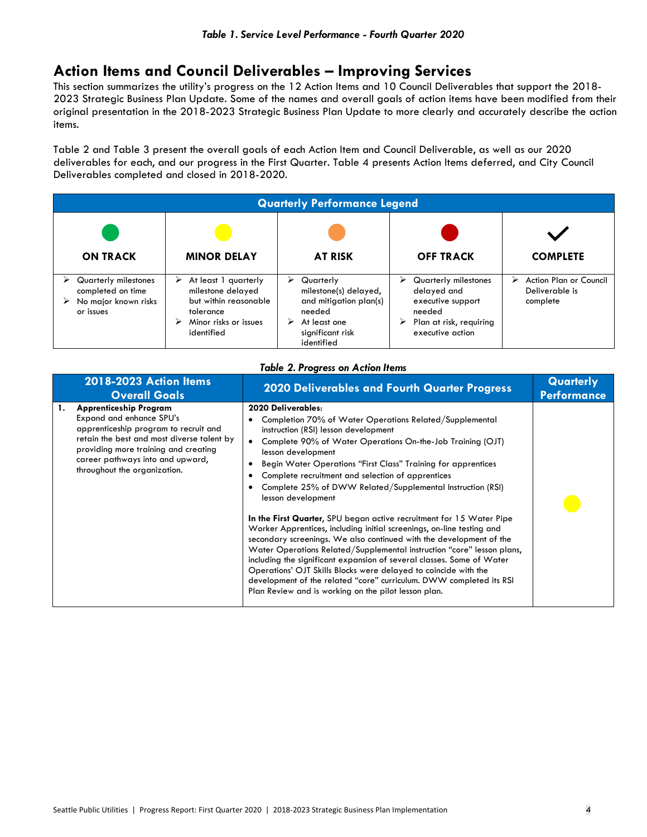## **Action Items and Council Deliverables – Improving Services**

This section summarizes the utility's progress on the 12 Action Items and 10 Council Deliverables that support the 2018- 2023 Strategic Business Plan Update. Some of the names and overall goals of action items have been modified from their original presentation in the 2018-2023 Strategic Business Plan Update to more clearly and accurately describe the action items.

Table 2 and Table 3 present the overall goals of each Action Item and Council Deliverable, as well as our 2020 deliverables for each, and our progress in the First Quarter. Table 4 presents Action Items deferred, and City Council Deliverables completed and closed in 2018-2020.

| <b>Quarterly Performance Legend</b>                                            |                                                                                                                             |                                                                                                                                    |                                                                                                                             |                                                           |
|--------------------------------------------------------------------------------|-----------------------------------------------------------------------------------------------------------------------------|------------------------------------------------------------------------------------------------------------------------------------|-----------------------------------------------------------------------------------------------------------------------------|-----------------------------------------------------------|
|                                                                                |                                                                                                                             |                                                                                                                                    |                                                                                                                             |                                                           |
| <b>ON TRACK</b>                                                                | <b>MINOR DELAY</b>                                                                                                          | <b>AT RISK</b>                                                                                                                     | <b>OFF TRACK</b>                                                                                                            | <b>COMPLETE</b>                                           |
| Quarterly milestones<br>completed on time<br>No major known risks<br>or issues | At least 1 quarterly<br>⋗<br>milestone delayed<br>but within reasonable<br>tolerance<br>Minor risks or issues<br>identified | Quarterly<br>➤<br>milestone(s) delayed,<br>and mitigation plan(s)<br>needed<br>At least one<br>⋗<br>significant risk<br>identified | Quarterly milestones<br>⋗<br>delayed and<br>executive support<br>needed<br>Plan at risk, requiring<br>➤<br>executive action | Action Plan or Council<br>⋗<br>Deliverable is<br>complete |

| Table 2. Progress on Action Items |
|-----------------------------------|
|-----------------------------------|

| 2018-2023 Action Items<br><b>Overall Goals</b>                                                                                                                                                                                                                     | <b>2020 Deliverables and Fourth Quarter Progress</b>                                                                                                                                                                                                                                                                                                                                                                                                                                                                                                                                                                                                                                                                                                                                                                                                                                                                                                                                                          | Quarterly<br><b>Performance</b> |
|--------------------------------------------------------------------------------------------------------------------------------------------------------------------------------------------------------------------------------------------------------------------|---------------------------------------------------------------------------------------------------------------------------------------------------------------------------------------------------------------------------------------------------------------------------------------------------------------------------------------------------------------------------------------------------------------------------------------------------------------------------------------------------------------------------------------------------------------------------------------------------------------------------------------------------------------------------------------------------------------------------------------------------------------------------------------------------------------------------------------------------------------------------------------------------------------------------------------------------------------------------------------------------------------|---------------------------------|
| <b>Apprenticeship Program</b><br>1.<br>Expand and enhance SPU's<br>apprenticeship program to recruit and<br>retain the best and most diverse talent by<br>providing more training and creating<br>career pathways into and upward,<br>throughout the organization. | 2020 Deliverables:<br>Completion 70% of Water Operations Related/Supplemental<br>instruction (RSI) lesson development<br>Complete 90% of Water Operations On-the-Job Training (OJT)<br>$\bullet$<br>lesson development<br>Begin Water Operations "First Class" Training for apprentices<br>Complete recruitment and selection of apprentices<br>Complete 25% of DWW Related/Supplemental Instruction (RSI)<br>lesson development<br>In the First Quarter, SPU began active recruitment for 15 Water Pipe<br>Worker Apprentices, including initial screenings, on-line testing and<br>secondary screenings. We also continued with the development of the<br>Water Operations Related/Supplemental instruction "core" lesson plans,<br>including the significant expansion of several classes. Some of Water<br>Operations' OJT Skills Blocks were delayed to coincide with the<br>development of the related "core" curriculum. DWW completed its RSI<br>Plan Review and is working on the pilot lesson plan. |                                 |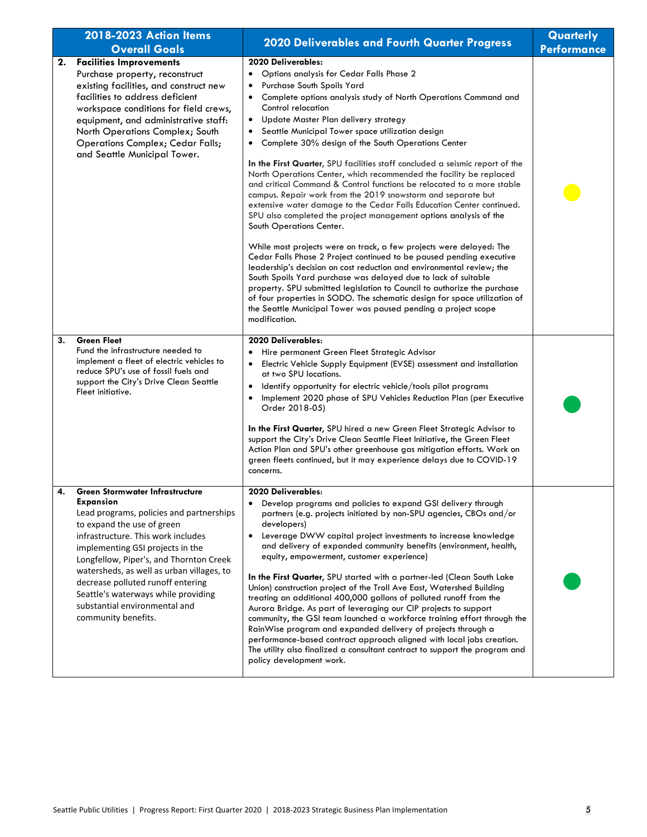| 2018-2023 Action Items |                                                                                                                                                                                                                                                                                                                                                                                                                                     | <b>2020 Deliverables and Fourth Quarter Progress</b>                                                                                                                                                                                                                                                                                                                                                                                                                                                                                                                                                                                                                                                                                                                                                                                                                                                                                                                                                                                                                                                                                                                                                                                                                                                                                                                         | Quarterly          |
|------------------------|-------------------------------------------------------------------------------------------------------------------------------------------------------------------------------------------------------------------------------------------------------------------------------------------------------------------------------------------------------------------------------------------------------------------------------------|------------------------------------------------------------------------------------------------------------------------------------------------------------------------------------------------------------------------------------------------------------------------------------------------------------------------------------------------------------------------------------------------------------------------------------------------------------------------------------------------------------------------------------------------------------------------------------------------------------------------------------------------------------------------------------------------------------------------------------------------------------------------------------------------------------------------------------------------------------------------------------------------------------------------------------------------------------------------------------------------------------------------------------------------------------------------------------------------------------------------------------------------------------------------------------------------------------------------------------------------------------------------------------------------------------------------------------------------------------------------------|--------------------|
|                        | <b>Overall Goals</b>                                                                                                                                                                                                                                                                                                                                                                                                                |                                                                                                                                                                                                                                                                                                                                                                                                                                                                                                                                                                                                                                                                                                                                                                                                                                                                                                                                                                                                                                                                                                                                                                                                                                                                                                                                                                              | <b>Performance</b> |
| 2.                     | <b>Facilities Improvements</b><br>Purchase property, reconstruct<br>existing facilities, and construct new<br>facilities to address deficient<br>workspace conditions for field crews,<br>equipment, and administrative staff:<br>North Operations Complex; South<br><b>Operations Complex; Cedar Falls;</b><br>and Seattle Municipal Tower.                                                                                        | 2020 Deliverables:<br>Options analysis for Cedar Falls Phase 2<br>٠<br>Purchase South Spoils Yard<br>Complete options analysis study of North Operations Command and<br>٠<br>Control relocation<br>Update Master Plan delivery strategy<br>٠<br>Seattle Municipal Tower space utilization design<br>٠<br>Complete 30% design of the South Operations Center<br>In the First Quarter, SPU facilities staff concluded a seismic report of the<br>North Operations Center, which recommended the facility be replaced<br>and critical Command & Control functions be relocated to a more stable<br>campus. Repair work from the 2019 snowstorm and separate but<br>extensive water damage to the Cedar Falls Education Center continued.<br>SPU also completed the project management options analysis of the<br>South Operations Center.<br>While most projects were on track, a few projects were delayed: The<br>Cedar Falls Phase 2 Project continued to be paused pending executive<br>leadership's decision on cost reduction and environmental review; the<br>South Spoils Yard purchase was delayed due to lack of suitable<br>property. SPU submitted legislation to Council to authorize the purchase<br>of four properties in SODO. The schematic design for space utilization of<br>the Seattle Municipal Tower was paused pending a project scope<br>modification. |                    |
| 3.                     | <b>Green Fleet</b><br>Fund the infrastructure needed to<br>implement a fleet of electric vehicles to<br>reduce SPU's use of fossil fuels and<br>support the City's Drive Clean Seattle<br>Fleet initiative.                                                                                                                                                                                                                         | 2020 Deliverables:<br>Hire permanent Green Fleet Strategic Advisor<br>Electric Vehicle Supply Equipment (EVSE) assessment and installation<br>at two SPU locations.<br>Identify opportunity for electric vehicle/tools pilot programs<br>$\bullet$<br>Implement 2020 phase of SPU Vehicles Reduction Plan (per Executive<br>٠<br>Order 2018-05)<br>In the First Quarter, SPU hired a new Green Fleet Strategic Advisor to<br>support the City's Drive Clean Seattle Fleet Initiative, the Green Fleet<br>Action Plan and SPU's other greenhouse gas mitigation efforts. Work on<br>green fleets continued, but it may experience delays due to COVID-19<br>concerns.                                                                                                                                                                                                                                                                                                                                                                                                                                                                                                                                                                                                                                                                                                         |                    |
| 4.                     | <b>Green Stormwater Infrastructure</b><br>Expansion<br>Lead programs, policies and partnerships<br>to expand the use of green<br>infrastructure. This work includes<br>implementing GSI projects in the<br>Longfellow, Piper's, and Thornton Creek<br>watersheds, as well as urban villages, to<br>decrease polluted runoff entering<br>Seattle's waterways while providing<br>substantial environmental and<br>community benefits. | 2020 Deliverables:<br>Develop programs and policies to expand GSI delivery through<br>partners (e.g. projects initiated by non-SPU agencies, CBOs and/or<br>developers)<br>Leverage DWW capital project investments to increase knowledge<br>$\bullet$<br>and delivery of expanded community benefits (environment, health,<br>equity, empowerment, customer experience)<br>In the First Quarter, SPU started with a partner-led (Clean South Lake<br>Union) construction project of the Troll Ave East, Watershed Building<br>treating an additional 400,000 gallons of polluted runoff from the<br>Aurora Bridge. As part of leveraging our CIP projects to support<br>community, the GSI team launched a workforce training effort through the<br>RainWise program and expanded delivery of projects through a<br>performance-based contract approach aligned with local jobs creation.<br>The utility also finalized a consultant contract to support the program and<br>policy development work.                                                                                                                                                                                                                                                                                                                                                                        |                    |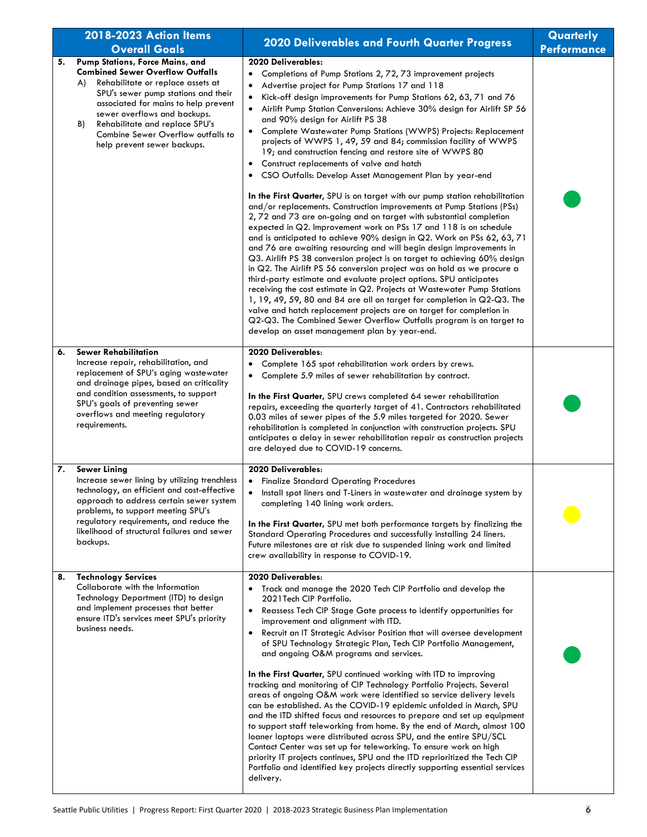|    | 2018-2023 Action Items<br><b>Overall Goals</b>                                                                                                                                                                                                                                                                                                    | <b>2020 Deliverables and Fourth Quarter Progress</b>                                                                                                                                                                                                                                                                                                                                                                                                                                                                                                                                                                                                                                                                                                                                                                                                                                                                                                                                                                                                                                                                                                                                                                                                                                                                                                                                                                                                                                                                                                                                                                                                                                                                         | Quarterly<br><b>Performance</b> |
|----|---------------------------------------------------------------------------------------------------------------------------------------------------------------------------------------------------------------------------------------------------------------------------------------------------------------------------------------------------|------------------------------------------------------------------------------------------------------------------------------------------------------------------------------------------------------------------------------------------------------------------------------------------------------------------------------------------------------------------------------------------------------------------------------------------------------------------------------------------------------------------------------------------------------------------------------------------------------------------------------------------------------------------------------------------------------------------------------------------------------------------------------------------------------------------------------------------------------------------------------------------------------------------------------------------------------------------------------------------------------------------------------------------------------------------------------------------------------------------------------------------------------------------------------------------------------------------------------------------------------------------------------------------------------------------------------------------------------------------------------------------------------------------------------------------------------------------------------------------------------------------------------------------------------------------------------------------------------------------------------------------------------------------------------------------------------------------------------|---------------------------------|
| 5. | Pump Stations, Force Mains, and<br><b>Combined Sewer Overflow Outfalls</b><br>Rehabilitate or replace assets at<br>A)<br>SPU's sewer pump stations and their<br>associated for mains to help prevent<br>sewer overflows and backups.<br>Rehabilitate and replace SPU's<br>B)<br>Combine Sewer Overflow outfalls to<br>help prevent sewer backups. | 2020 Deliverables:<br>Completions of Pump Stations 2, 72, 73 improvement projects<br>$\bullet$<br>Advertise project for Pump Stations 17 and 118<br>$\bullet$<br>Kick-off design improvements for Pump Stations 62, 63, 71 and 76<br>٠<br>Airlift Pump Station Conversions: Achieve 30% design for Airlift SP 56<br>$\bullet$<br>and 90% design for Airlift PS 38<br>Complete Wastewater Pump Stations (WWPS) Projects: Replacement<br>٠<br>projects of WWPS 1, 49, 59 and 84; commission facility of WWPS<br>19; and construction fencing and restore site of WWPS 80<br>Construct replacements of valve and hatch<br>CSO Outfalls: Develop Asset Management Plan by year-end<br>٠<br>In the First Quarter, SPU is on target with our pump station rehabilitation<br>and/or replacements. Construction improvements at Pump Stations (PSs)<br>2,72 and 73 are on-going and on target with substantial completion<br>expected in Q2. Improvement work on PSs 17 and 118 is on schedule<br>and is anticipated to achieve 90% design in Q2. Work on PSs 62, 63, 71<br>and 76 are awaiting resourcing and will begin design improvements in<br>Q3. Airlift PS 38 conversion project is on target to achieving 60% design<br>in Q2. The Airlift PS 56 conversion project was on hold as we procure a<br>third-party estimate and evaluate project options. SPU anticipates<br>receiving the cost estimate in Q2. Projects at Wastewater Pump Stations<br>1, 19, 49, 59, 80 and 84 are all on target for completion in Q2-Q3. The<br>valve and hatch replacement projects are on target for completion in<br>Q2-Q3. The Combined Sewer Overflow Outfalls program is on target to<br>develop an asset management plan by year-end. |                                 |
| 6. | <b>Sewer Rehabilitation</b><br>Increase repair, rehabilitation, and<br>replacement of SPU's aging wastewater<br>and drainage pipes, based on criticality<br>and condition assessments, to support<br>SPU's goals of preventing sewer<br>overflows and meeting regulatory<br>requirements.                                                         | 2020 Deliverables:<br>Complete 165 spot rehabilitation work orders by crews.<br>٠<br>Complete 5.9 miles of sewer rehabilitation by contract.<br>٠<br>In the First Quarter, SPU crews completed 64 sewer rehabilitation<br>repairs, exceeding the quarterly target of 41. Contractors rehabilitated<br>0.03 miles of sewer pipes of the 5.9 miles targeted for 2020. Sewer<br>rehabilitation is completed in conjunction with construction projects. SPU<br>anticipates a delay in sewer rehabilitation repair as construction projects<br>are delayed due to COVID-19 concerns.                                                                                                                                                                                                                                                                                                                                                                                                                                                                                                                                                                                                                                                                                                                                                                                                                                                                                                                                                                                                                                                                                                                                              |                                 |
| 7. | <b>Sewer Lining</b><br>Increase sewer lining by utilizing trenchless<br>technology, an efficient and cost-effective<br>approach to address certain sewer system<br>problems, to support meeting SPU's<br>regulatory requirements, and reduce the<br>likelihood of structural failures and sewer<br>backups.                                       | 2020 Deliverables:<br><b>Finalize Standard Operating Procedures</b><br>٠<br>Install spot liners and T-Liners in wastewater and drainage system by<br>$\bullet$<br>completing 140 lining work orders.<br>In the First Quarter, SPU met both performance targets by finalizing the<br>Standard Operating Procedures and successfully installing 24 liners.<br>Future milestones are at risk due to suspended lining work and limited<br>crew availability in response to COVID-19.                                                                                                                                                                                                                                                                                                                                                                                                                                                                                                                                                                                                                                                                                                                                                                                                                                                                                                                                                                                                                                                                                                                                                                                                                                             |                                 |
| 8. | <b>Technology Services</b><br>Collaborate with the Information<br>Technology Department (ITD) to design<br>and implement processes that better<br>ensure ITD's services meet SPU's priority<br>business needs.                                                                                                                                    | 2020 Deliverables:<br>Track and manage the 2020 Tech CIP Portfolio and develop the<br>2021 Tech CIP Portfolio.<br>Reassess Tech CIP Stage Gate process to identify opportunities for<br>٠<br>improvement and alignment with ITD.<br>Recruit an IT Strategic Advisor Position that will oversee development<br>٠<br>of SPU Technology Strategic Plan, Tech CIP Portfolio Management,<br>and ongoing O&M programs and services.<br>In the First Quarter, SPU continued working with ITD to improving<br>tracking and monitoring of CIP Technology Portfolio Projects. Several<br>areas of ongoing O&M work were identified so service delivery levels<br>can be established. As the COVID-19 epidemic unfolded in March, SPU<br>and the ITD shifted focus and resources to prepare and set up equipment<br>to support staff teleworking from home. By the end of March, almost 100<br>loaner laptops were distributed across SPU, and the entire SPU/SCL<br>Contact Center was set up for teleworking. To ensure work on high<br>priority IT projects continues, SPU and the ITD reprioritized the Tech CIP<br>Portfolio and identified key projects directly supporting essential services<br>delivery.                                                                                                                                                                                                                                                                                                                                                                                                                                                                                                                       |                                 |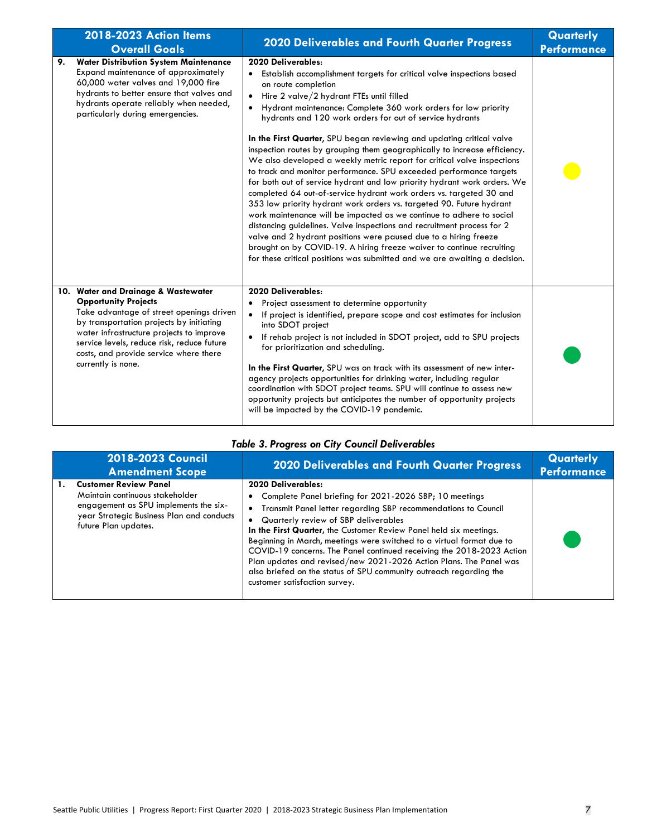|    | 2018-2023 Action Items<br><b>Overall Goals</b>                                                                                                                                                                                                                                                                       | 2020 Deliverables and Fourth Quarter Progress                                                                                                                                                                                                                                                                                                                                                                                                                                                                                                                                                                                                                                                                                                                                                                                                                                                                                                                                                                                                                                                                                                                                                                 | Quarterly<br><b>Performance</b> |
|----|----------------------------------------------------------------------------------------------------------------------------------------------------------------------------------------------------------------------------------------------------------------------------------------------------------------------|---------------------------------------------------------------------------------------------------------------------------------------------------------------------------------------------------------------------------------------------------------------------------------------------------------------------------------------------------------------------------------------------------------------------------------------------------------------------------------------------------------------------------------------------------------------------------------------------------------------------------------------------------------------------------------------------------------------------------------------------------------------------------------------------------------------------------------------------------------------------------------------------------------------------------------------------------------------------------------------------------------------------------------------------------------------------------------------------------------------------------------------------------------------------------------------------------------------|---------------------------------|
| 9. | <b>Water Distribution System Maintenance</b><br>Expand maintenance of approximately<br>60,000 water valves and 19,000 fire<br>hydrants to better ensure that valves and<br>hydrants operate reliably when needed,<br>particularly during emergencies.                                                                | 2020 Deliverables:<br>• Establish accomplishment targets for critical valve inspections based<br>on route completion<br>Hire 2 valve/2 hydrant FTEs until filled<br>Hydrant maintenance: Complete 360 work orders for low priority<br>hydrants and 120 work orders for out of service hydrants<br>In the First Quarter, SPU began reviewing and updating critical valve<br>inspection routes by grouping them geographically to increase efficiency.<br>We also developed a weekly metric report for critical valve inspections<br>to track and monitor performance. SPU exceeded performance targets<br>for both out of service hydrant and low priority hydrant work orders. We<br>completed 64 out-of-service hydrant work orders vs. targeted 30 and<br>353 low priority hydrant work orders vs. targeted 90. Future hydrant<br>work maintenance will be impacted as we continue to adhere to social<br>distancing guidelines. Valve inspections and recruitment process for 2<br>valve and 2 hydrant positions were paused due to a hiring freeze<br>brought on by COVID-19. A hiring freeze waiver to continue recruiting<br>for these critical positions was submitted and we are awaiting a decision. |                                 |
|    | 10. Water and Drainage & Wastewater<br><b>Opportunity Projects</b><br>Take advantage of street openings driven<br>by transportation projects by initiating<br>water infrastructure projects to improve<br>service levels, reduce risk, reduce future<br>costs, and provide service where there<br>currently is none. | 2020 Deliverables:<br>Project assessment to determine opportunity<br>If project is identified, prepare scope and cost estimates for inclusion<br>into SDOT project<br>If rehab project is not included in SDOT project, add to SPU projects<br>for prioritization and scheduling.<br>In the First Quarter, SPU was on track with its assessment of new inter-<br>agency projects opportunities for drinking water, including regular<br>coordination with SDOT project teams. SPU will continue to assess new<br>opportunity projects but anticipates the number of opportunity projects<br>will be impacted by the COVID-19 pandemic.                                                                                                                                                                                                                                                                                                                                                                                                                                                                                                                                                                        |                                 |

### *Table 3. Progress on City Council Deliverables*

| 2018-2023 Council<br><b>Amendment Scope</b>                                                                                                                                   | <b>2020 Deliverables and Fourth Quarter Progress</b>                                                                                                                                                                                                                                                                                                                                                                                                                                                                                                                                              | Quarterly<br><b>Performance</b> |
|-------------------------------------------------------------------------------------------------------------------------------------------------------------------------------|---------------------------------------------------------------------------------------------------------------------------------------------------------------------------------------------------------------------------------------------------------------------------------------------------------------------------------------------------------------------------------------------------------------------------------------------------------------------------------------------------------------------------------------------------------------------------------------------------|---------------------------------|
| <b>Customer Review Panel</b><br>Maintain continuous stakeholder<br>engagement as SPU implements the six-<br>year Strategic Business Plan and conducts<br>future Plan updates. | 2020 Deliverables:<br>• Complete Panel briefing for 2021-2026 SBP; 10 meetings<br>• Transmit Panel letter regarding SBP recommendations to Council<br>• Quarterly review of SBP deliverables<br>In the First Quarter, the Customer Review Panel held six meetings.<br>Beginning in March, meetings were switched to a virtual format due to<br>COVID-19 concerns. The Panel continued receiving the 2018-2023 Action<br>Plan updates and revised/new 2021-2026 Action Plans. The Panel was<br>also briefed on the status of SPU community outreach regarding the<br>customer satisfaction survey. |                                 |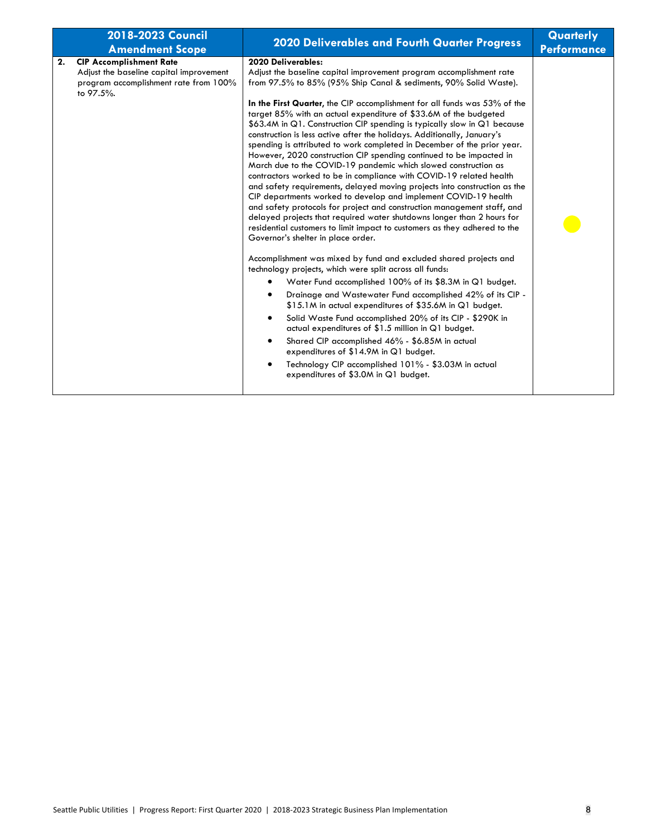| 2018-2023 Council<br><b>Amendment Scope</b>                                                                                           | <b>2020 Deliverables and Fourth Quarter Progress</b>                                                                                                                                                                                                                                                                                                                                                                                                                                                                                                                                                                                                                                                                                                                                                                                                                                                                                                                                                                                                                                                                                                                                                                                                                                                                                                                                                                                                                                                                                                                                                                                                                                                                                                                                                                         | Quarterly<br><b>Performance</b> |
|---------------------------------------------------------------------------------------------------------------------------------------|------------------------------------------------------------------------------------------------------------------------------------------------------------------------------------------------------------------------------------------------------------------------------------------------------------------------------------------------------------------------------------------------------------------------------------------------------------------------------------------------------------------------------------------------------------------------------------------------------------------------------------------------------------------------------------------------------------------------------------------------------------------------------------------------------------------------------------------------------------------------------------------------------------------------------------------------------------------------------------------------------------------------------------------------------------------------------------------------------------------------------------------------------------------------------------------------------------------------------------------------------------------------------------------------------------------------------------------------------------------------------------------------------------------------------------------------------------------------------------------------------------------------------------------------------------------------------------------------------------------------------------------------------------------------------------------------------------------------------------------------------------------------------------------------------------------------------|---------------------------------|
| <b>CIP Accomplishment Rate</b><br>2.<br>Adjust the baseline capital improvement<br>program accomplishment rate from 100%<br>to 97.5%. | 2020 Deliverables:<br>Adjust the baseline capital improvement program accomplishment rate<br>from 97.5% to 85% (95% Ship Canal & sediments, 90% Solid Waste).<br>In the First Quarter, the CIP accomplishment for all funds was 53% of the<br>target 85% with an actual expenditure of \$33.6M of the budgeted<br>\$63.4M in Q1. Construction CIP spending is typically slow in Q1 because<br>construction is less active after the holidays. Additionally, January's<br>spending is attributed to work completed in December of the prior year.<br>However, 2020 construction CIP spending continued to be impacted in<br>March due to the COVID-19 pandemic which slowed construction as<br>contractors worked to be in compliance with COVID-19 related health<br>and safety requirements, delayed moving projects into construction as the<br>CIP departments worked to develop and implement COVID-19 health<br>and safety protocols for project and construction management staff, and<br>delayed projects that required water shutdowns longer than 2 hours for<br>residential customers to limit impact to customers as they adhered to the<br>Governor's shelter in place order.<br>Accomplishment was mixed by fund and excluded shared projects and<br>technology projects, which were split across all funds:<br>Water Fund accomplished 100% of its \$8.3M in Q1 budget.<br>Drainage and Wastewater Fund accomplished 42% of its CIP -<br>\$15.1M in actual expenditures of \$35.6M in Q1 budget.<br>Solid Waste Fund accomplished 20% of its CIP - \$290K in<br>actual expenditures of \$1.5 million in Q1 budget.<br>Shared CIP accomplished 46% - \$6.85M in actual<br>expenditures of \$14.9M in Q1 budget.<br>Technology CIP accomplished 101% - \$3.03M in actual<br>expenditures of \$3.0M in Q1 budget. |                                 |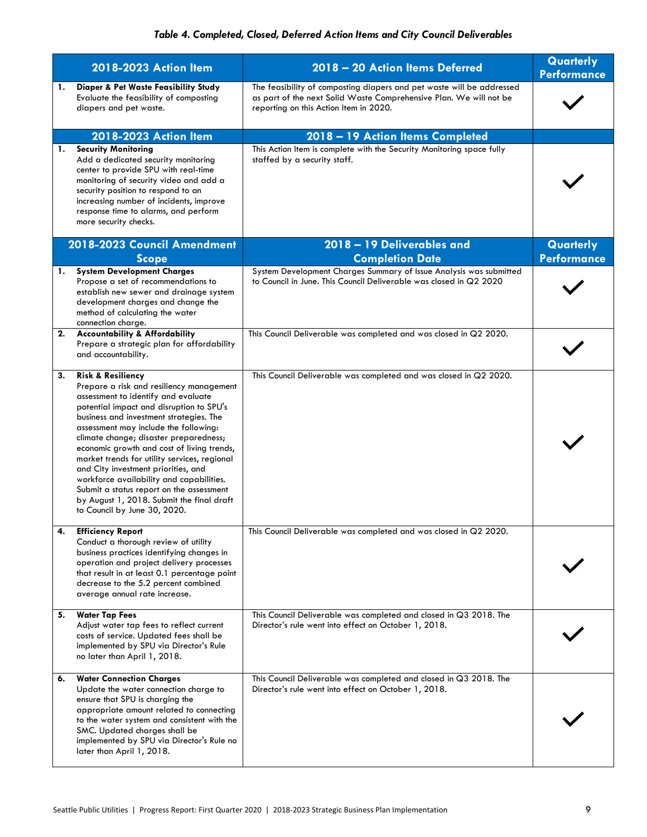|    | 2018-2023 Action Item                                                                                                                                                                                                                                                                                                                                                                                                                                                                                                                                                                               | 2018 - 20 Action Items Deferred                                                                                                                                                       | Quarterly<br><b>Performance</b> |
|----|-----------------------------------------------------------------------------------------------------------------------------------------------------------------------------------------------------------------------------------------------------------------------------------------------------------------------------------------------------------------------------------------------------------------------------------------------------------------------------------------------------------------------------------------------------------------------------------------------------|---------------------------------------------------------------------------------------------------------------------------------------------------------------------------------------|---------------------------------|
| 1. | <b>Diaper &amp; Pet Waste Feasibility Study</b><br>Evaluate the feasibility of composting<br>diapers and pet waste.                                                                                                                                                                                                                                                                                                                                                                                                                                                                                 | The feasibility of composting diapers and pet waste will be addressed<br>as part of the next Solid Waste Comprehensive Plan. We will not be<br>reporting on this Action Item in 2020. |                                 |
|    | 2018-2023 Action Item                                                                                                                                                                                                                                                                                                                                                                                                                                                                                                                                                                               | 2018 - 19 Action Items Completed                                                                                                                                                      |                                 |
| 1. | <b>Security Monitoring</b><br>Add a dedicated security monitoring<br>center to provide SPU with real-time<br>monitoring of security video and add a<br>security position to respond to an<br>increasing number of incidents, improve<br>response time to alarms, and perform<br>more security checks.                                                                                                                                                                                                                                                                                               | This Action Item is complete with the Security Monitoring space fully<br>staffed by a security staff.                                                                                 |                                 |
|    | 2018-2023 Council Amendment<br><b>Scope</b>                                                                                                                                                                                                                                                                                                                                                                                                                                                                                                                                                         | 2018 - 19 Deliverables and<br><b>Completion Date</b>                                                                                                                                  | Quarterly<br><b>Performance</b> |
|    | 1. System Development Charges<br>Propose a set of recommendations to<br>establish new sewer and drainage system<br>development charges and change the<br>method of calculating the water<br>connection charge.                                                                                                                                                                                                                                                                                                                                                                                      | System Development Charges Summary of Issue Analysis was submitted<br>to Council in June. This Council Deliverable was closed in Q2 2020                                              |                                 |
| 2. | <b>Accountability &amp; Affordability</b><br>Prepare a strategic plan for affordability<br>and accountability.                                                                                                                                                                                                                                                                                                                                                                                                                                                                                      | This Council Deliverable was completed and was closed in Q2 2020.                                                                                                                     |                                 |
| 3. | <b>Risk &amp; Resiliency</b><br>Prepare a risk and resiliency management<br>assessment to identify and evaluate<br>potential impact and disruption to SPU's<br>business and investment strategies. The<br>assessment may include the following:<br>climate change; disaster preparedness;<br>economic growth and cost of living trends,<br>market trends for utility services, regional<br>and City investment priorities, and<br>workforce availability and capabilities.<br>Submit a status report on the assessment<br>by August 1, 2018. Submit the final draft<br>to Council by June 30, 2020. | This Council Deliverable was completed and was closed in Q2 2020.                                                                                                                     |                                 |
| 4. | <b>Efficiency Report</b><br>Conduct a thorough review of utility<br>business practices identifying changes in<br>operation and project delivery processes<br>that result in at least 0.1 percentage point<br>decrease to the 5.2 percent combined<br>average annual rate increase.                                                                                                                                                                                                                                                                                                                  | This Council Deliverable was completed and was closed in Q2 2020.                                                                                                                     |                                 |
| 5. | <b>Water Tap Fees</b><br>Adjust water tap fees to reflect current<br>costs of service. Updated fees shall be<br>implemented by SPU via Director's Rule<br>no later than April 1, 2018.                                                                                                                                                                                                                                                                                                                                                                                                              | This Council Deliverable was completed and closed in Q3 2018. The<br>Director's rule went into effect on October 1, 2018.                                                             |                                 |
| 6. | <b>Water Connection Charges</b><br>Update the water connection charge to<br>ensure that SPU is charging the<br>appropriate amount related to connecting<br>to the water system and consistent with the<br>SMC. Updated charges shall be<br>implemented by SPU via Director's Rule no<br>later than April 1, 2018.                                                                                                                                                                                                                                                                                   | This Council Deliverable was completed and closed in Q3 2018. The<br>Director's rule went into effect on October 1, 2018.                                                             |                                 |